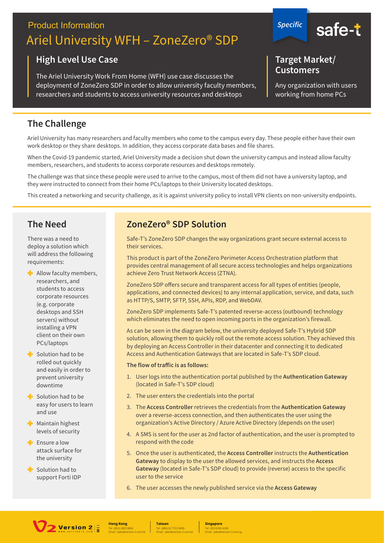# **Product Information** Ariel University WFH – ZoneZero® SDP

#### **High Level Use Case**

The Ariel University Work From Home (WFH) use case discusses the deployment of ZoneZero SDP in order to allow university faculty members, researchers and students to access university resources and desktops



#### **Target Market/ Customers**

Any organization with users working from home PCs

## **The Challenge**

Ariel University has many researchers and faculty members who come to the campus every day. These people either have their own work desktop or they share desktops. In addition, they access corporate data bases and file shares.

When the Covid-19 pandemic started, Ariel University made a decision shut down the university campus and instead allow faculty members, researchers, and students to access corporate resources and desktops remotely.

The challenge was that since these people were used to arrive to the campus, most of them did not have a university laptop, and they were instructed to connect from their home PCs/laptops to their University located desktops.

This created a networking and security challenge, as it is against university policy to install VPN clients on non-university endpoints.

#### **The Need**

There was a need to deploy a solution which will address the following requirements:

- **Allow faculty members,** researchers, and students to access corporate resources (e.g. corporate desktops and SSH servers) without installing a VPN client on their own PCs/laptops
- $\blacktriangleright$  Solution had to be rolled out quickly and easily in order to prevent university downtime
- $\blacktriangle$  Solution had to be easy for users to learn and use
- **Maintain highest** levels of security
- **Ensure a low** attack surface for the university
- Solution had to support Forti IDP

## **ZoneZero® SDP Solution**

Safe-T's ZoneZero SDP changes the way organizations grant secure external access to their services.

This product is part of the ZoneZero Perimeter Access Orchestration platform that provides central management of all secure access technologies and helps organizations achieve Zero Trust Network Access (ZTNA).

ZoneZero SDP offers secure and transparent access for all types of entities (people, applications, and connected devices) to any internal application, service, and data, such as HTTP/S, SMTP, SFTP, SSH, APIs, RDP, and WebDAV.

ZoneZero SDP implements Safe-T's patented reverse-access (outbound) technology which eliminates the need to open incoming ports in the organization's firewall.

As can be seen in the diagram below, the university deployed Safe-T's Hybrid SDP solution, allowing them to quickly roll out the remote access solution. They achieved this by deploying an Access Controller in their datacenter and connecting it to dedicated Access and Authentication Gateways that are located in Safe-T's SDP cloud.

#### **The flow of traffic is as follows:**

- 1. User logs into the authentication portal published by the Authentication Gateway (located in Safe-T's SDP cloud)
- 2. The user enters the credentials into the portal
- 3. The Access Controller retrieves the credentials from the Authentication Gateway over a reverse-access connection, and then authenticates the user using the organization's Active Directory / Azure Active Directory (depends on the user)
- 4. A SMS is sent for the user as 2nd factor of authentication, and the user is prompted to respond with the code
- 5. Once the user is authenticated, the Access Controller instructs the Authentication Gateway to display to the user the allowed services, and instructs the Access Gateway (located in Safe-T's SDP cloud) to provide (reverse) access to the specific user to the service
- 6. The user accesses the newly published service via the Access Gateway



Tel : (852) 2893 8860 **Hong Kong**

Email : sales@version-2.com.hk Tel : (886) 02 7722 6899 **Taiwan** Email : sales@version-2.com.tw

Tel : (65) 6296 4268 **Singapore** Email : sales@version-2.com.sg